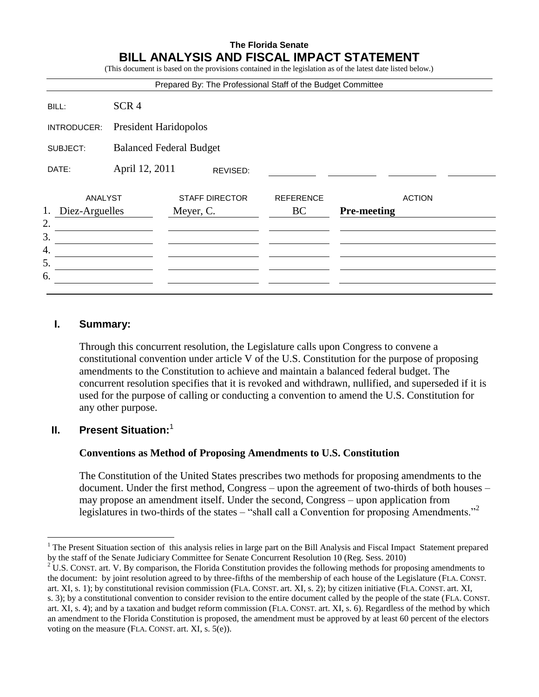## **The Florida Senate BILL ANALYSIS AND FISCAL IMPACT STATEMENT**

(This document is based on the provisions contained in the legislation as of the latest date listed below.)

| Prepared By: The Professional Staff of the Budget Committee |                                |                                    |          |                        |                    |               |
|-------------------------------------------------------------|--------------------------------|------------------------------------|----------|------------------------|--------------------|---------------|
| BILL:                                                       | SCR <sub>4</sub>               |                                    |          |                        |                    |               |
| INTRODUCER:                                                 | President Haridopolos          |                                    |          |                        |                    |               |
| SUBJECT:                                                    | <b>Balanced Federal Budget</b> |                                    |          |                        |                    |               |
| DATE:                                                       | April 12, 2011                 |                                    | REVISED: |                        |                    |               |
| ANALYST<br>1.<br>Diez-Arguelles                             |                                | <b>STAFF DIRECTOR</b><br>Meyer, C. |          | <b>REFERENCE</b><br>BC | <b>Pre-meeting</b> | <b>ACTION</b> |
| 2.                                                          |                                |                                    |          |                        |                    |               |
| 3.<br>4.                                                    |                                |                                    |          |                        |                    |               |
| 5.                                                          |                                |                                    |          |                        |                    |               |
| 6.                                                          |                                |                                    |          |                        |                    |               |

### **I. Summary:**

Through this concurrent resolution, the Legislature calls upon Congress to convene a constitutional convention under article V of the U.S. Constitution for the purpose of proposing amendments to the Constitution to achieve and maintain a balanced federal budget. The concurrent resolution specifies that it is revoked and withdrawn, nullified, and superseded if it is used for the purpose of calling or conducting a convention to amend the U.S. Constitution for any other purpose.

#### **II. Present Situation:**<sup>1</sup>

 $\overline{a}$ 

#### **Conventions as Method of Proposing Amendments to U.S. Constitution**

The Constitution of the United States prescribes two methods for proposing amendments to the document. Under the first method, Congress – upon the agreement of two-thirds of both houses – may propose an amendment itself. Under the second, Congress – upon application from legislatures in two-thirds of the states – "shall call a Convention for proposing Amendments."<sup>2</sup>

<sup>&</sup>lt;sup>1</sup> The Present Situation section of this analysis relies in large part on the Bill Analysis and Fiscal Impact Statement prepared by the staff of the Senate Judiciary Committee for Senate Concurrent Resolution 10 (Reg. Sess. 2010)

<sup>&</sup>lt;sup>2</sup> U.S. CONST. art. V. By comparison, the Florida Constitution provides the following methods for proposing amendments to the document: by joint resolution agreed to by three-fifths of the membership of each house of the Legislature (FLA. CONST. art. XI, s. 1); by constitutional revision commission (FLA. CONST. art. XI, s. 2); by citizen initiative (FLA. CONST. art. XI,

s. 3); by a constitutional convention to consider revision to the entire document called by the people of the state (FLA. CONST. art. XI, s. 4); and by a taxation and budget reform commission (FLA. CONST. art. XI, s. 6). Regardless of the method by which an amendment to the Florida Constitution is proposed, the amendment must be approved by at least 60 percent of the electors voting on the measure (FLA. CONST. art. XI, s. 5(e)).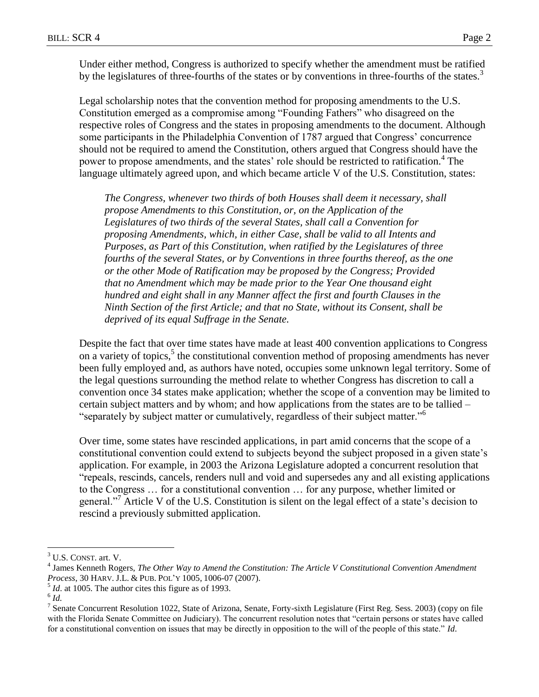Under either method, Congress is authorized to specify whether the amendment must be ratified by the legislatures of three-fourths of the states or by conventions in three-fourths of the states.<sup>3</sup>

Legal scholarship notes that the convention method for proposing amendments to the U.S. Constitution emerged as a compromise among "Founding Fathers" who disagreed on the respective roles of Congress and the states in proposing amendments to the document. Although some participants in the Philadelphia Convention of 1787 argued that Congress' concurrence should not be required to amend the Constitution, others argued that Congress should have the power to propose amendments, and the states' role should be restricted to ratification.<sup>4</sup> The language ultimately agreed upon, and which became article V of the U.S. Constitution, states:

*The Congress, whenever two thirds of both Houses shall deem it necessary, shall propose Amendments to this Constitution, or, on the Application of the Legislatures of two thirds of the several States, shall call a Convention for proposing Amendments, which, in either Case, shall be valid to all Intents and Purposes, as Part of this Constitution, when ratified by the Legislatures of three fourths of the several States, or by Conventions in three fourths thereof, as the one or the other Mode of Ratification may be proposed by the Congress; Provided that no Amendment which may be made prior to the Year One thousand eight hundred and eight shall in any Manner affect the first and fourth Clauses in the Ninth Section of the first Article; and that no State, without its Consent, shall be deprived of its equal Suffrage in the Senate.*

Despite the fact that over time states have made at least 400 convention applications to Congress on a variety of topics,<sup>5</sup> the constitutional convention method of proposing amendments has never been fully employed and, as authors have noted, occupies some unknown legal territory. Some of the legal questions surrounding the method relate to whether Congress has discretion to call a convention once 34 states make application; whether the scope of a convention may be limited to certain subject matters and by whom; and how applications from the states are to be tallied – "separately by subject matter or cumulatively, regardless of their subject matter."<sup>6</sup>

Over time, some states have rescinded applications, in part amid concerns that the scope of a constitutional convention could extend to subjects beyond the subject proposed in a given state's application. For example, in 2003 the Arizona Legislature adopted a concurrent resolution that "repeals, rescinds, cancels, renders null and void and supersedes any and all existing applications to the Congress … for a constitutional convention … for any purpose, whether limited or general."<sup>7</sup> Article V of the U.S. Constitution is silent on the legal effect of a state's decision to rescind a previously submitted application.

 $\overline{a}$ 

<sup>&</sup>lt;sup>3</sup> U.S. CONST. art. V.

<sup>4</sup> James Kenneth Rogers, *The Other Way to Amend the Constitution: The Article V Constitutional Convention Amendment Process*, 30 HARV. J.L. & PUB. POL'Y 1005, 1006-07 (2007).

 $<sup>5</sup>$  *Id*. at 1005. The author cites this figure as of 1993.</sup>

<sup>6</sup> *Id.*

<sup>&</sup>lt;sup>7</sup> Senate Concurrent Resolution 1022, State of Arizona, Senate, Forty-sixth Legislature (First Reg. Sess. 2003) (copy on file with the Florida Senate Committee on Judiciary). The concurrent resolution notes that "certain persons or states have called for a constitutional convention on issues that may be directly in opposition to the will of the people of this state." *Id*.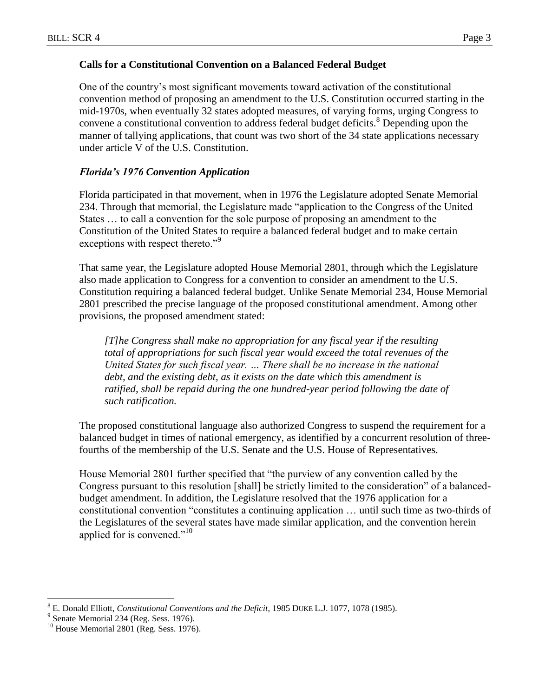### **Calls for a Constitutional Convention on a Balanced Federal Budget**

One of the country's most significant movements toward activation of the constitutional convention method of proposing an amendment to the U.S. Constitution occurred starting in the mid-1970s, when eventually 32 states adopted measures, of varying forms, urging Congress to convene a constitutional convention to address federal budget deficits.<sup>8</sup> Depending upon the manner of tallying applications, that count was two short of the 34 state applications necessary under article V of the U.S. Constitution.

## *Florida's 1976 Convention Application*

Florida participated in that movement, when in 1976 the Legislature adopted Senate Memorial 234. Through that memorial, the Legislature made "application to the Congress of the United States … to call a convention for the sole purpose of proposing an amendment to the Constitution of the United States to require a balanced federal budget and to make certain exceptions with respect thereto."<sup>9</sup>

That same year, the Legislature adopted House Memorial 2801, through which the Legislature also made application to Congress for a convention to consider an amendment to the U.S. Constitution requiring a balanced federal budget. Unlike Senate Memorial 234, House Memorial 2801 prescribed the precise language of the proposed constitutional amendment. Among other provisions, the proposed amendment stated:

*[T]he Congress shall make no appropriation for any fiscal year if the resulting total of appropriations for such fiscal year would exceed the total revenues of the United States for such fiscal year. … There shall be no increase in the national debt, and the existing debt, as it exists on the date which this amendment is*  ratified, shall be repaid during the one hundred-year period following the date of *such ratification.*

The proposed constitutional language also authorized Congress to suspend the requirement for a balanced budget in times of national emergency, as identified by a concurrent resolution of threefourths of the membership of the U.S. Senate and the U.S. House of Representatives.

House Memorial 2801 further specified that "the purview of any convention called by the Congress pursuant to this resolution [shall] be strictly limited to the consideration" of a balancedbudget amendment. In addition, the Legislature resolved that the 1976 application for a constitutional convention "constitutes a continuing application … until such time as two-thirds of the Legislatures of the several states have made similar application, and the convention herein applied for is convened."<sup>10</sup>

 $\overline{a}$ <sup>8</sup> E. Donald Elliott, *Constitutional Conventions and the Deficit*, 1985 DUKE L.J. 1077, 1078 (1985).

<sup>&</sup>lt;sup>9</sup> Senate Memorial 234 (Reg. Sess. 1976).

 $^{10}$  House Memorial 2801 (Reg. Sess. 1976).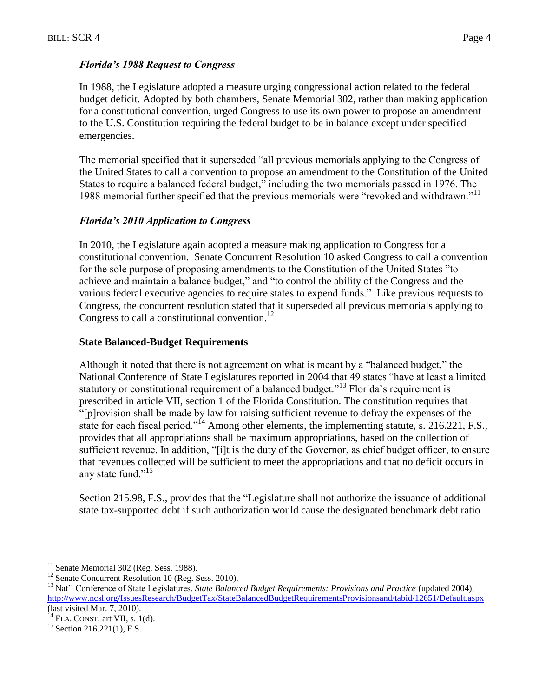## *Florida's 1988 Request to Congress*

In 1988, the Legislature adopted a measure urging congressional action related to the federal budget deficit. Adopted by both chambers, Senate Memorial 302, rather than making application for a constitutional convention, urged Congress to use its own power to propose an amendment to the U.S. Constitution requiring the federal budget to be in balance except under specified emergencies.

The memorial specified that it superseded "all previous memorials applying to the Congress of the United States to call a convention to propose an amendment to the Constitution of the United States to require a balanced federal budget," including the two memorials passed in 1976. The 1988 memorial further specified that the previous memorials were "revoked and withdrawn."<sup>11</sup>

# *Florida's 2010 Application to Congress*

In 2010, the Legislature again adopted a measure making application to Congress for a constitutional convention. Senate Concurrent Resolution 10 asked Congress to call a convention for the sole purpose of proposing amendments to the Constitution of the United States "to achieve and maintain a balance budget," and "to control the ability of the Congress and the various federal executive agencies to require states to expend funds." Like previous requests to Congress, the concurrent resolution stated that it superseded all previous memorials applying to Congress to call a constitutional convention.<sup>12</sup>

## **State Balanced-Budget Requirements**

Although it noted that there is not agreement on what is meant by a "balanced budget," the National Conference of State Legislatures reported in 2004 that 49 states "have at least a limited statutory or constitutional requirement of a balanced budget."<sup>13</sup> Florida's requirement is prescribed in article VII, section 1 of the Florida Constitution. The constitution requires that "[p]rovision shall be made by law for raising sufficient revenue to defray the expenses of the state for each fiscal period."<sup>14</sup> Among other elements, the implementing statute, s. 216.221, F.S., provides that all appropriations shall be maximum appropriations, based on the collection of sufficient revenue. In addition, "[i]t is the duty of the Governor, as chief budget officer, to ensure that revenues collected will be sufficient to meet the appropriations and that no deficit occurs in any state fund."<sup>15</sup>

Section 215.98, F.S., provides that the "Legislature shall not authorize the issuance of additional state tax-supported debt if such authorization would cause the designated benchmark debt ratio

 $\overline{a}$ 

 $11$  Senate Memorial 302 (Reg. Sess. 1988).

<sup>&</sup>lt;sup>12</sup> Senate Concurrent Resolution 10 (Reg. Sess. 2010).

<sup>&</sup>lt;sup>13</sup> Nat'l Conference of State Legislatures, *State Balanced Budget Requirements: Provisions and Practice* (updated 2004), <http://www.ncsl.org/IssuesResearch/BudgetTax/StateBalancedBudgetRequirementsProvisionsand/tabid/12651/Default.aspx> (last visited Mar. 7, 2010).

 $^{14}$  FLA. CONST. art VII, s. 1(d).

 $15$  Section 216.221(1), F.S.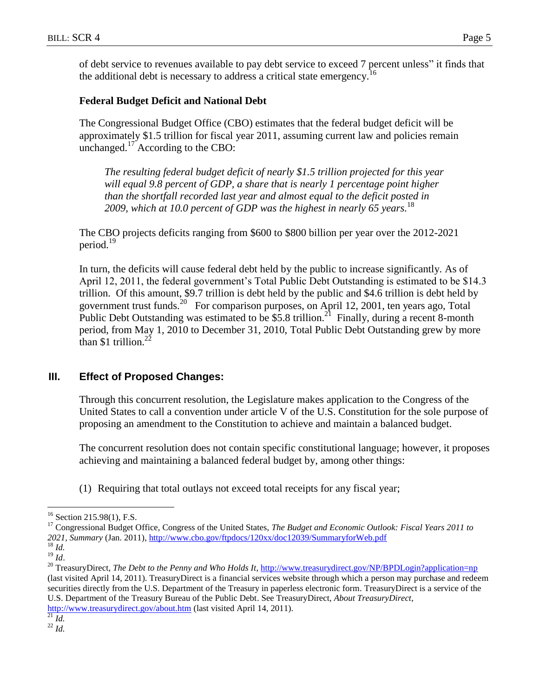of debt service to revenues available to pay debt service to exceed 7 percent unless" it finds that the additional debt is necessary to address a critical state emergency.<sup>16</sup>

### **Federal Budget Deficit and National Debt**

The Congressional Budget Office (CBO) estimates that the federal budget deficit will be approximately \$1.5 trillion for fiscal year 2011, assuming current law and policies remain unchanged. $^{17}$  According to the CBO:

*The resulting federal budget deficit of nearly \$1.5 trillion projected for this year will equal 9.8 percent of GDP, a share that is nearly 1 percentage point higher than the shortfall recorded last year and almost equal to the deficit posted in 2009, which at 10.0 percent of GDP was the highest in nearly 65 years.* 18

The CBO projects deficits ranging from \$600 to \$800 billion per year over the 2012-2021 period.<sup>19</sup>

In turn, the deficits will cause federal debt held by the public to increase significantly. As of April 12, 2011, the federal government's Total Public Debt Outstanding is estimated to be \$14.3 trillion. Of this amount, \$9.7 trillion is debt held by the public and \$4.6 trillion is debt held by government trust funds.<sup>20</sup> For comparison purposes, on April 12, 2001, ten years ago, Total Public Debt Outstanding was estimated to be  $$5.8$  trillion.<sup>21</sup> Finally, during a recent 8-month period, from May 1, 2010 to December 31, 2010, Total Public Debt Outstanding grew by more than \$1 trillion.<sup>22</sup>

## **III. Effect of Proposed Changes:**

Through this concurrent resolution, the Legislature makes application to the Congress of the United States to call a convention under article V of the U.S. Constitution for the sole purpose of proposing an amendment to the Constitution to achieve and maintain a balanced budget.

The concurrent resolution does not contain specific constitutional language; however, it proposes achieving and maintaining a balanced federal budget by, among other things:

(1) Requiring that total outlays not exceed total receipts for any fiscal year;

 $\overline{a}$ 

<sup>20</sup> TreasuryDirect, *The Debt to the Penny and Who Holds It*,<http://www.treasurydirect.gov/NP/BPDLogin?application=np> (last visited April 14, 2011). TreasuryDirect is a financial services website through which a person may purchase and redeem securities directly from the U.S. Department of the Treasury in paperless electronic form. TreasuryDirect is a service of the U.S. Department of the Treasury Bureau of the Public Debt. See TreasuryDirect, *About TreasuryDirect*,

<http://www.treasurydirect.gov/about.htm> (last visited April 14, 2011).

 $^{22}$  *Id.* 

 $16$  Section 215.98(1), F.S.

<sup>17</sup> Congressional Budget Office, Congress of the United States, *The Budget and Economic Outlook: Fiscal Years 2011 to 2021, Summary* (Jan. 2011),<http://www.cbo.gov/ftpdocs/120xx/doc12039/SummaryforWeb.pdf> <sup>18</sup> *Id.*

 $\overline{\phantom{a}^{19}}\,\overline{\phantom{a}}^{14}$ 

 $^{21}$  *Id.*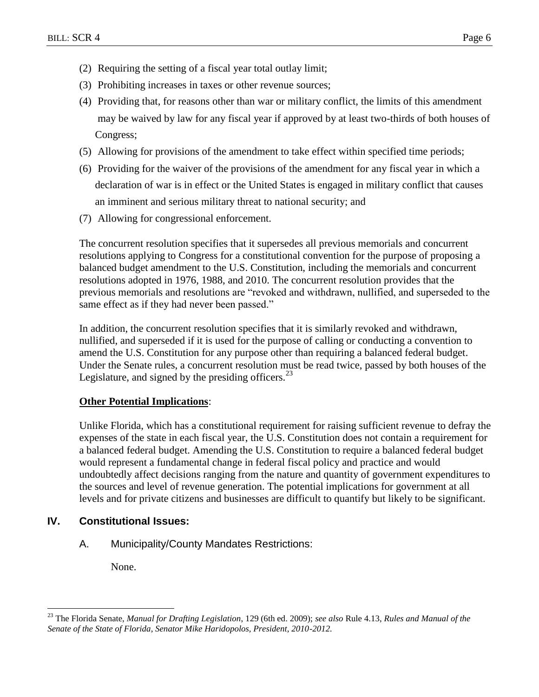- (2) Requiring the setting of a fiscal year total outlay limit;
- (3) Prohibiting increases in taxes or other revenue sources;
- (4) Providing that, for reasons other than war or military conflict, the limits of this amendment may be waived by law for any fiscal year if approved by at least two-thirds of both houses of Congress;
- (5) Allowing for provisions of the amendment to take effect within specified time periods;
- (6) Providing for the waiver of the provisions of the amendment for any fiscal year in which a declaration of war is in effect or the United States is engaged in military conflict that causes an imminent and serious military threat to national security; and
- (7) Allowing for congressional enforcement.

The concurrent resolution specifies that it supersedes all previous memorials and concurrent resolutions applying to Congress for a constitutional convention for the purpose of proposing a balanced budget amendment to the U.S. Constitution, including the memorials and concurrent resolutions adopted in 1976, 1988, and 2010. The concurrent resolution provides that the previous memorials and resolutions are "revoked and withdrawn, nullified, and superseded to the same effect as if they had never been passed."

In addition, the concurrent resolution specifies that it is similarly revoked and withdrawn, nullified, and superseded if it is used for the purpose of calling or conducting a convention to amend the U.S. Constitution for any purpose other than requiring a balanced federal budget. Under the Senate rules, a concurrent resolution must be read twice, passed by both houses of the Legislature, and signed by the presiding officers.<sup>23</sup>

#### **Other Potential Implications**:

Unlike Florida, which has a constitutional requirement for raising sufficient revenue to defray the expenses of the state in each fiscal year, the U.S. Constitution does not contain a requirement for a balanced federal budget. Amending the U.S. Constitution to require a balanced federal budget would represent a fundamental change in federal fiscal policy and practice and would undoubtedly affect decisions ranging from the nature and quantity of government expenditures to the sources and level of revenue generation. The potential implications for government at all levels and for private citizens and businesses are difficult to quantify but likely to be significant.

### **IV. Constitutional Issues:**

A. Municipality/County Mandates Restrictions:

None.

 $\overline{a}$ 

<sup>23</sup> The Florida Senate, *Manual for Drafting Legislation*, 129 (6th ed. 2009); *see also* Rule 4.13, *Rules and Manual of the Senate of the State of Florida, Senator Mike Haridopolos, President, 2010-2012.*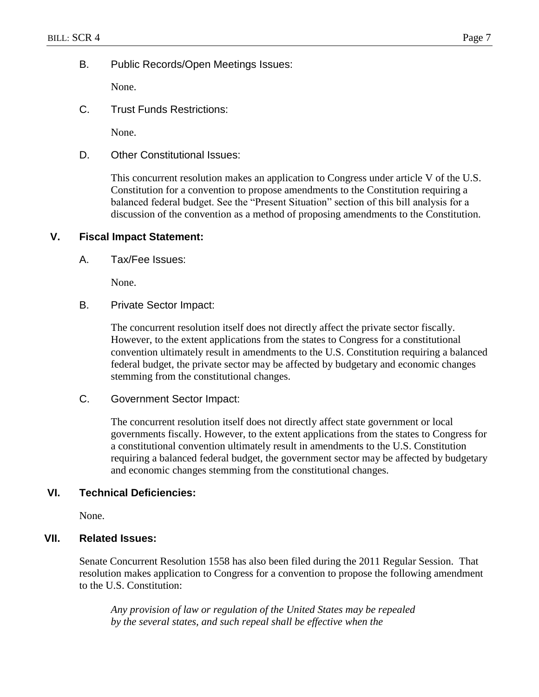B. Public Records/Open Meetings Issues:

None.

C. Trust Funds Restrictions:

None.

D. Other Constitutional Issues:

This concurrent resolution makes an application to Congress under article V of the U.S. Constitution for a convention to propose amendments to the Constitution requiring a balanced federal budget. See the "Present Situation" section of this bill analysis for a discussion of the convention as a method of proposing amendments to the Constitution.

### **V. Fiscal Impact Statement:**

A. Tax/Fee Issues:

None.

B. Private Sector Impact:

The concurrent resolution itself does not directly affect the private sector fiscally. However, to the extent applications from the states to Congress for a constitutional convention ultimately result in amendments to the U.S. Constitution requiring a balanced federal budget, the private sector may be affected by budgetary and economic changes stemming from the constitutional changes.

C. Government Sector Impact:

The concurrent resolution itself does not directly affect state government or local governments fiscally. However, to the extent applications from the states to Congress for a constitutional convention ultimately result in amendments to the U.S. Constitution requiring a balanced federal budget, the government sector may be affected by budgetary and economic changes stemming from the constitutional changes.

#### **VI. Technical Deficiencies:**

None.

### **VII. Related Issues:**

Senate Concurrent Resolution 1558 has also been filed during the 2011 Regular Session. That resolution makes application to Congress for a convention to propose the following amendment to the U.S. Constitution:

*Any provision of law or regulation of the United States may be repealed by the several states, and such repeal shall be effective when the*